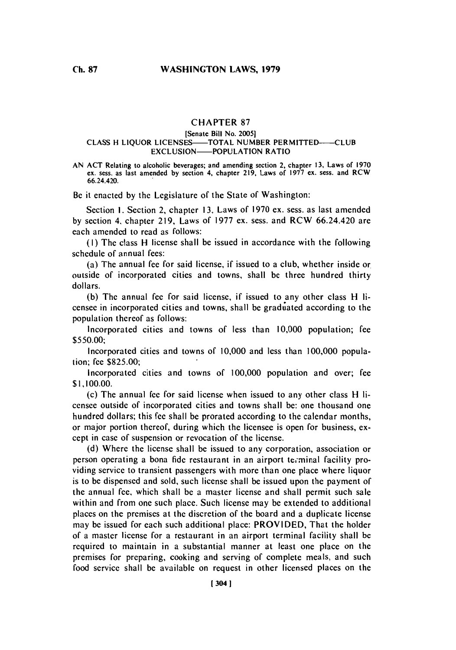## **CHAPTER 87**

## [Senate **Bill No. 2005] CLASS H LIQUOR LICENSES-TOTAL NUMBER PERMITTED-CLUB EXCLUSION-POPULATION RATIO**

**AN ACT Relating to alcoholic beverages; and amending section 2, chapter 13, Laws of 1970 ex. sess. as last amended by section 4, chapter 219, Laws of 1977 cx. sess. and RCW 66.24.420.**

Be it enacted **by** the Legislature of the State of Washington:

Section **1.** Section 2, chapter **13,** Laws of **1970** ex. sess. as last amended **by** section 4, chapter **219,** Laws of **1977** ex. sess. and RCW 66.24.420 are each amended to read as follows:

**(I)** The class H license shall be issued in accordance with the following schedule of annual fees:

(a) The annual fee for said license, if issued to a club, whether inside or. outside of incorporated cities and towns, shall be three hundred thirty dollars.

**(b)** The annual fee for said license, if issued to any other class H licensee in incorporated cities and towns, shall be graduated according to the population thereof as follows:

Incorporated cities and towns of less than **10,000** population; fee *\$550.00;*

Incorporated cities and towns of **10,000** and less than **100,000** population; **fee \$825.00;**

Incorporated cities and towns of **100,000** population and over; fee **\$1,100.00.**

(c) The annual fee for said license when issued to any other class H licensee outside of incorporated cities and towns shall be: one thousand one hundred dollars; this fee shall be prorated according to the calendar months, or major portion thereof, during which the licensee is open for business, except in case of suspension or revocation of the license.

**(d)** Where the license shall **be** issued to any corporation, association or person operating a bona fide restaurant in an airport terminal facility providing service to transient passengers with more than one place where liquor is to be dispensed and sold, such license shall be issued upon the payment of the annual **fee,** which shall be a master license and shall permit such sale within and from one such place. Such license may be extended to additional places on the premises at the discretion of the board and a duplicate license may **be** issued for each such additional place: PROVIDED, That the holder of a master license for a restaurant in an airport terminal facility shall be required to maintain in a substantial manner at least one place on the premises for preparing, cooking and serving of complete meals, and such food service shall **be** available on request in other licensed places on the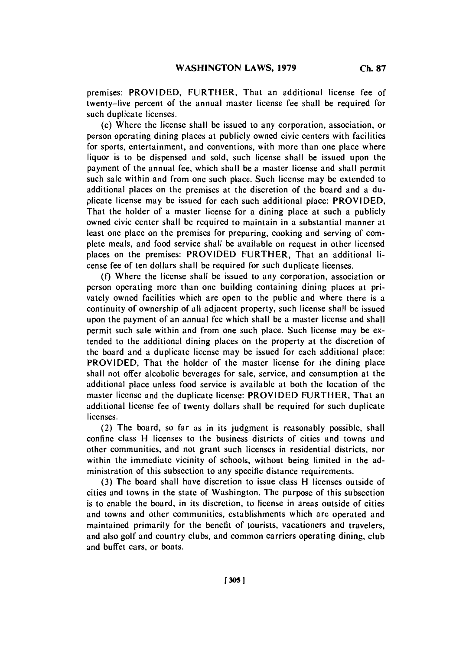premises: PROVIDED, FURTHER, That an additional license fee of twenty-five percent of the annual master license fee shall be required for such duplicate licenses.

(e) Where the license shall be issued to any corporation, association, or person operating dining places at publicly owned civic centers with facilities for sports, entertainment, and conventions, with more than one place where liquor is to be dispensed and sold, such license shall be issued upon the payment of the annual fee, which shall be a master-license and shall permit such sale within and from one such place. Such license may be extended to additional places on the premises at the discretion of the board and a duplicate license may **be** issued for each such additional place: PROVIDED, That the holder of a master license for a dining place at such a publicly owned civic center shall **be** required to maintain in a substantial manner at least one place on the premises for preparing, cooking and serving of complete meals, and food service shall be available on request in other licensed places on the premises: PROVIDED FURTHER, That an additional license fee of ten dollars shall be required for such duplicate licenses.

**(f)** Where the license shall be issued to any corporation, association or person operating more than one building containing dining places at privately owned facilities which are open to the public and where there is a continuity of ownership of all adjacent property, such license shall be issued upon the payment of an annual fee which shall **be** a master license and shall permit such sale within and from one such place. Such license may **be** extended to the additional dining places on the property at the discretion of the board and a duplicate license may be issued for each additional place: PROVIDED, That the holder of the master license for the dining place shall not offer alcoholic beverages for sale, service, and consumption at the additional place unless food service is available at both the location of the master license and the duplicate license: PROVIDED FURTHER, That an additional license fee of twenty dollars shall be required for such duplicate licenses.

(2) The board, so far as in its judgment is reasonably possible, shall confine class H licenses to the business districts of cities and towns and other communities, and not grant such licenses in residential districts, nor within the immediate vicinity of schools, without being limited in the administration of this subsection to any specific distance requirements.

**(3)** The board shall have discretion to issue class H licenses outside of cities and towns in the state of Washington. The purpose of this subsection is to enable the board, in its discretion, to license in areas outside of cities and towns and other communities, establishments which are operated and maintained primarily for the benefit of tourists, vacationers and travelers, and also golf and country clubs, and common carriers operating dining, club and buffet cars, or boats.